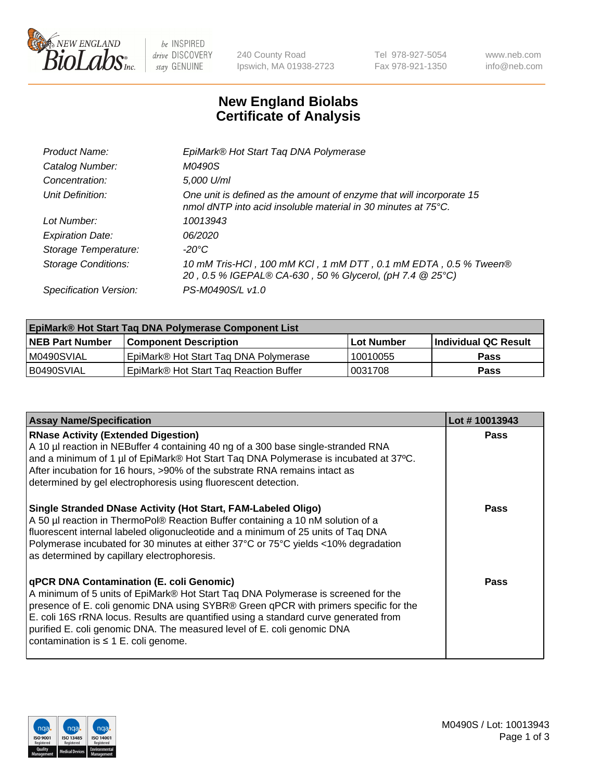

 $be$  INSPIRED drive DISCOVERY stay GENUINE

240 County Road Ipswich, MA 01938-2723 Tel 978-927-5054 Fax 978-921-1350 www.neb.com info@neb.com

## **New England Biolabs Certificate of Analysis**

| Product Name:              | EpiMark® Hot Start Tag DNA Polymerase                                                                                                           |
|----------------------------|-------------------------------------------------------------------------------------------------------------------------------------------------|
| Catalog Number:            | M0490S                                                                                                                                          |
| Concentration:             | 5,000 U/ml                                                                                                                                      |
| Unit Definition:           | One unit is defined as the amount of enzyme that will incorporate 15<br>nmol dNTP into acid insoluble material in 30 minutes at $75^{\circ}$ C. |
| Lot Number:                | 10013943                                                                                                                                        |
| <b>Expiration Date:</b>    | 06/2020                                                                                                                                         |
| Storage Temperature:       | -20°C                                                                                                                                           |
| <b>Storage Conditions:</b> | 10 mM Tris-HCl, 100 mM KCl, 1 mM DTT, 0.1 mM EDTA, 0.5 % Tween®<br>20, 0.5 % IGEPAL® CA-630, 50 % Glycerol, (pH 7.4 @ 25°C)                     |
| Specification Version:     | PS-M0490S/L v1.0                                                                                                                                |
|                            |                                                                                                                                                 |

| <b>EpiMark® Hot Start Taq DNA Polymerase Component List</b> |                                        |              |                             |  |
|-------------------------------------------------------------|----------------------------------------|--------------|-----------------------------|--|
| <b>NEB Part Number</b>                                      | <b>Component Description</b>           | l Lot Number | <b>Individual QC Result</b> |  |
| I M0490SVIAL                                                | EpiMark® Hot Start Tag DNA Polymerase  | 10010055     | <b>Pass</b>                 |  |
| B0490SVIAL                                                  | EpiMark® Hot Start Tag Reaction Buffer | 10031708     | Pass                        |  |

| <b>Assay Name/Specification</b>                                                                                                                                                                                                                                                                                                                                                                                                       | Lot #10013943 |
|---------------------------------------------------------------------------------------------------------------------------------------------------------------------------------------------------------------------------------------------------------------------------------------------------------------------------------------------------------------------------------------------------------------------------------------|---------------|
| <b>RNase Activity (Extended Digestion)</b><br>A 10 µl reaction in NEBuffer 4 containing 40 ng of a 300 base single-stranded RNA<br>and a minimum of 1 µl of EpiMark® Hot Start Taq DNA Polymerase is incubated at 37°C.<br>After incubation for 16 hours, >90% of the substrate RNA remains intact as<br>determined by gel electrophoresis using fluorescent detection.                                                               | Pass          |
| Single Stranded DNase Activity (Hot Start, FAM-Labeled Oligo)<br>A 50 µl reaction in ThermoPol® Reaction Buffer containing a 10 nM solution of a<br>fluorescent internal labeled oligonucleotide and a minimum of 25 units of Taq DNA<br>Polymerase incubated for 30 minutes at either 37°C or 75°C yields <10% degradation<br>as determined by capillary electrophoresis.                                                            | Pass          |
| qPCR DNA Contamination (E. coli Genomic)<br>A minimum of 5 units of EpiMark® Hot Start Taq DNA Polymerase is screened for the<br>presence of E. coli genomic DNA using SYBR® Green qPCR with primers specific for the<br>E. coli 16S rRNA locus. Results are quantified using a standard curve generated from<br>purified E. coli genomic DNA. The measured level of E. coli genomic DNA<br>contamination is $\leq$ 1 E. coli genome. | Pass          |

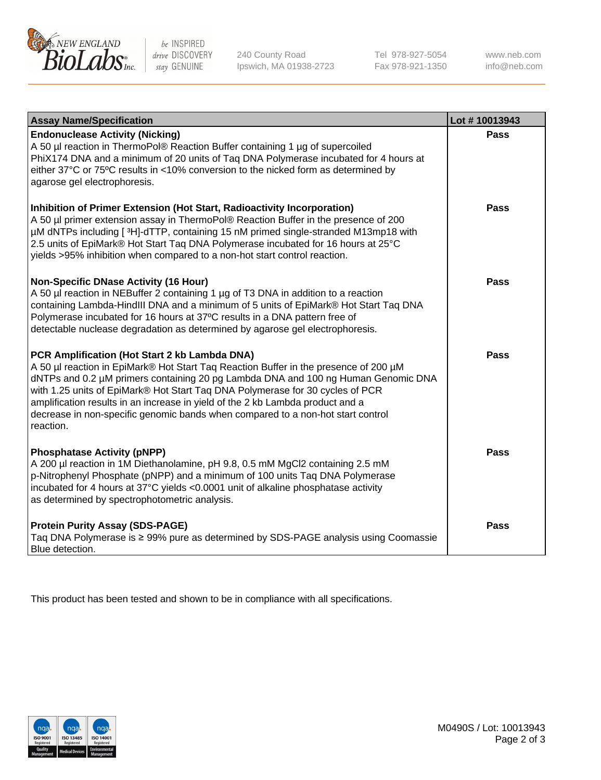

 $be$  INSPIRED drive DISCOVERY stay GENUINE

240 County Road Ipswich, MA 01938-2723 Tel 978-927-5054 Fax 978-921-1350 www.neb.com info@neb.com

| <b>Assay Name/Specification</b>                                                                                                                                                                                                                                                                                                                                                                                                                                                               | Lot #10013943 |
|-----------------------------------------------------------------------------------------------------------------------------------------------------------------------------------------------------------------------------------------------------------------------------------------------------------------------------------------------------------------------------------------------------------------------------------------------------------------------------------------------|---------------|
| <b>Endonuclease Activity (Nicking)</b><br>A 50 µl reaction in ThermoPol® Reaction Buffer containing 1 µg of supercoiled<br>PhiX174 DNA and a minimum of 20 units of Taq DNA Polymerase incubated for 4 hours at<br>either 37°C or 75°C results in <10% conversion to the nicked form as determined by<br>agarose gel electrophoresis.                                                                                                                                                         | <b>Pass</b>   |
| Inhibition of Primer Extension (Hot Start, Radioactivity Incorporation)<br>A 50 µl primer extension assay in ThermoPol® Reaction Buffer in the presence of 200<br>µM dNTPs including [3H]-dTTP, containing 15 nM primed single-stranded M13mp18 with<br>2.5 units of EpiMark® Hot Start Taq DNA Polymerase incubated for 16 hours at 25°C<br>yields >95% inhibition when compared to a non-hot start control reaction.                                                                        | Pass          |
| <b>Non-Specific DNase Activity (16 Hour)</b><br>A 50 µl reaction in NEBuffer 2 containing 1 µg of T3 DNA in addition to a reaction<br>containing Lambda-HindIII DNA and a minimum of 5 units of EpiMark® Hot Start Taq DNA<br>Polymerase incubated for 16 hours at 37°C results in a DNA pattern free of<br>detectable nuclease degradation as determined by agarose gel electrophoresis.                                                                                                     | <b>Pass</b>   |
| PCR Amplification (Hot Start 2 kb Lambda DNA)<br>A 50 µl reaction in EpiMark® Hot Start Taq Reaction Buffer in the presence of 200 µM<br>dNTPs and 0.2 µM primers containing 20 pg Lambda DNA and 100 ng Human Genomic DNA<br>with 1.25 units of EpiMark® Hot Start Taq DNA Polymerase for 30 cycles of PCR<br>amplification results in an increase in yield of the 2 kb Lambda product and a<br>decrease in non-specific genomic bands when compared to a non-hot start control<br>reaction. | <b>Pass</b>   |
| <b>Phosphatase Activity (pNPP)</b><br>A 200 µl reaction in 1M Diethanolamine, pH 9.8, 0.5 mM MgCl2 containing 2.5 mM<br>p-Nitrophenyl Phosphate (pNPP) and a minimum of 100 units Taq DNA Polymerase<br>incubated for 4 hours at 37°C yields <0.0001 unit of alkaline phosphatase activity<br>as determined by spectrophotometric analysis.                                                                                                                                                   | <b>Pass</b>   |
| <b>Protein Purity Assay (SDS-PAGE)</b><br>Taq DNA Polymerase is ≥ 99% pure as determined by SDS-PAGE analysis using Coomassie<br>Blue detection.                                                                                                                                                                                                                                                                                                                                              | Pass          |

This product has been tested and shown to be in compliance with all specifications.